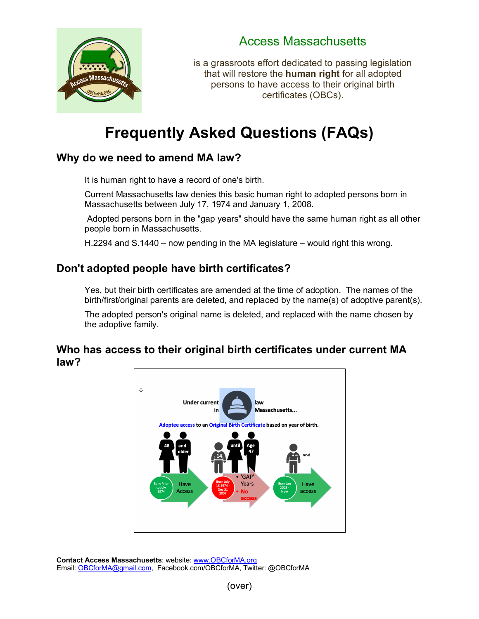

## Access Massachusetts

is a grassroots effort dedicated to passing legislation that will restore the **human right** for all adopted persons to have access to their original birth certificates (OBCs).

# **Frequently Asked Questions (FAQs)**

## Why do we need to amend MA law?

It is human right to have a record of one's birth.

Current Massachusetts law denies this basic human right to adopted persons born in Massachusetts between July 17, 1974 and January 1, 2008.

Adopted persons born in the "gap years" should have the same human right as all other people born in Massachusetts.

H.2294 and S.1440 – now pending in the MA legislature – would right this wrong.<br>

### **Don't adopted people have birth certificates?**

auopteu people flave birth certificates:<br>Yes, but their birth certificates are amended at the time of adoption. The names of the birth/first/original parents are deleted, and replaced by the name(s) of adoptive parent(s).

The adopted person's original name is deleted, and replaced with the name chosen by the adoptive family.

#### **Who has access to their original birth certificates under current MA law?**



Contact Access Massachusetts: website: www.OBCforMA.org Email: OBCforMA@gmail.com, Facebook.com/OBCforMA, Twitter: @OBCforMA